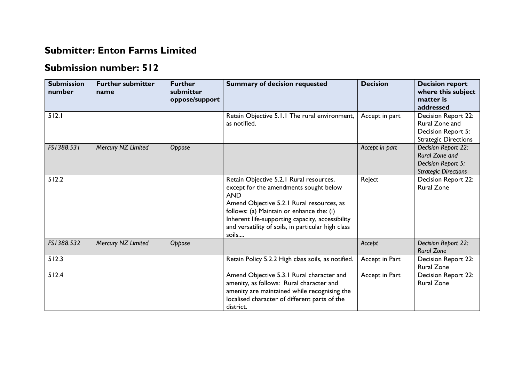## **Submitter: Enton Farms Limited**

## **Submission number: 512**

| <b>Submission</b><br>number | <b>Further submitter</b><br>name | <b>Further</b><br>submitter<br>oppose/support | <b>Summary of decision requested</b>                                                                                                                                                                                                                                                                         | <b>Decision</b> | <b>Decision report</b><br>where this subject<br>matter is<br>addressed                            |
|-----------------------------|----------------------------------|-----------------------------------------------|--------------------------------------------------------------------------------------------------------------------------------------------------------------------------------------------------------------------------------------------------------------------------------------------------------------|-----------------|---------------------------------------------------------------------------------------------------|
| 512.1                       |                                  |                                               | Retain Objective 5.1.1 The rural environment,<br>as notified.                                                                                                                                                                                                                                                | Accept in part  | Decision Report 22:<br>Rural Zone and<br>Decision Report 5:<br><b>Strategic Directions</b>        |
| FS1388.531                  | Mercury NZ Limited               | Oppose                                        |                                                                                                                                                                                                                                                                                                              | Accept in part  | Decision Report 22:<br><b>Rural Zone and</b><br>Decision Report 5:<br><b>Strategic Directions</b> |
| 512.2                       |                                  |                                               | Retain Objective 5.2.1 Rural resources,<br>except for the amendments sought below<br><b>AND</b><br>Amend Objective 5.2.1 Rural resources, as<br>follows: (a) Maintain or enhance the: (i)<br>Inherent life-supporting capacity, accessibility<br>and versatility of soils, in particular high class<br>soils | Reject          | Decision Report 22:<br><b>Rural Zone</b>                                                          |
| FS1388.532                  | Mercury NZ Limited               | Oppose                                        |                                                                                                                                                                                                                                                                                                              | Accept          | Decision Report 22:<br><b>Rural Zone</b>                                                          |
| 512.3                       |                                  |                                               | Retain Policy 5.2.2 High class soils, as notified.                                                                                                                                                                                                                                                           | Accept in Part  | Decision Report 22:<br><b>Rural Zone</b>                                                          |
| $512.4$                     |                                  |                                               | Amend Objective 5.3.1 Rural character and<br>amenity, as follows: Rural character and<br>amenity are maintained while recognising the<br>localised character of different parts of the<br>district.                                                                                                          | Accept in Part  | Decision Report 22:<br><b>Rural Zone</b>                                                          |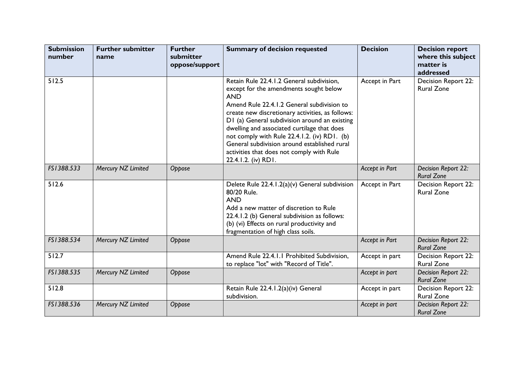| <b>Submission</b><br>number | <b>Further submitter</b><br>name | <b>Further</b><br>submitter<br>oppose/support | <b>Summary of decision requested</b>                                                                                                                                                                                                                                                                                                                                                                                                                                    | <b>Decision</b> | <b>Decision report</b><br>where this subject<br>matter is<br>addressed |
|-----------------------------|----------------------------------|-----------------------------------------------|-------------------------------------------------------------------------------------------------------------------------------------------------------------------------------------------------------------------------------------------------------------------------------------------------------------------------------------------------------------------------------------------------------------------------------------------------------------------------|-----------------|------------------------------------------------------------------------|
| 512.5                       |                                  |                                               | Retain Rule 22.4.1.2 General subdivision,<br>except for the amendments sought below<br><b>AND</b><br>Amend Rule 22.4.1.2 General subdivision to<br>create new discretionary activities, as follows:<br>D1 (a) General subdivision around an existing<br>dwelling and associated curtilage that does<br>not comply with Rule 22.4.1.2. (iv) RD1. (b)<br>General subdivision around established rural<br>activities that does not comply with Rule<br>22.4.1.2. (iv) RD1. | Accept in Part  | <b>Decision Report 22:</b><br><b>Rural Zone</b>                        |
| FS1388.533                  | Mercury NZ Limited               | Oppose                                        |                                                                                                                                                                                                                                                                                                                                                                                                                                                                         | Accept in Part  | Decision Report 22:<br><b>Rural Zone</b>                               |
| 512.6                       |                                  |                                               | Delete Rule 22.4.1.2(a)(v) General subdivision<br>80/20 Rule.<br><b>AND</b><br>Add a new matter of discretion to Rule<br>22.4.1.2 (b) General subdivision as follows:<br>(b) (vi) Effects on rural productivity and<br>fragmentation of high class soils.                                                                                                                                                                                                               | Accept in Part  | Decision Report 22:<br><b>Rural Zone</b>                               |
| FS1388.534                  | Mercury NZ Limited               | Oppose                                        |                                                                                                                                                                                                                                                                                                                                                                                                                                                                         | Accept in Part  | Decision Report 22:<br><b>Rural Zone</b>                               |
| 512.7                       |                                  |                                               | Amend Rule 22.4.1.1 Prohibited Subdivision,<br>to replace "lot" with "Record of Title".                                                                                                                                                                                                                                                                                                                                                                                 | Accept in part  | <b>Decision Report 22:</b><br><b>Rural Zone</b>                        |
| FS1388.535                  | Mercury NZ Limited               | Oppose                                        |                                                                                                                                                                                                                                                                                                                                                                                                                                                                         | Accept in part  | Decision Report 22:<br><b>Rural Zone</b>                               |
| 512.8                       |                                  |                                               | Retain Rule 22.4.1.2(a)(iv) General<br>subdivision.                                                                                                                                                                                                                                                                                                                                                                                                                     | Accept in part  | Decision Report 22:<br><b>Rural Zone</b>                               |
| FS1388.536                  | Mercury NZ Limited               | Oppose                                        |                                                                                                                                                                                                                                                                                                                                                                                                                                                                         | Accept in part  | Decision Report 22:<br><b>Rural Zone</b>                               |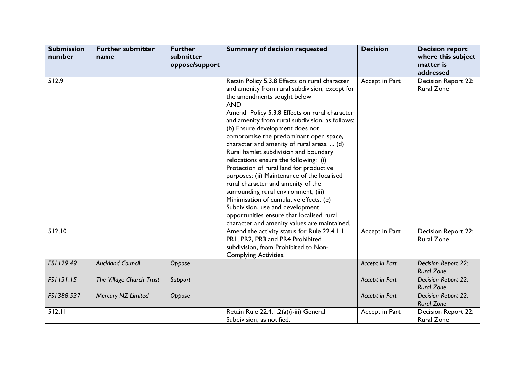| <b>Submission</b><br>number | <b>Further submitter</b><br>name | <b>Further</b><br>submitter<br>oppose/support | <b>Summary of decision requested</b>                                                                                                                                                                                                                                                                                                                                                                                                                                                                                                                                                                                                                                                                                                                                                                               | <b>Decision</b> | <b>Decision report</b><br>where this subject<br>matter is<br>addressed |
|-----------------------------|----------------------------------|-----------------------------------------------|--------------------------------------------------------------------------------------------------------------------------------------------------------------------------------------------------------------------------------------------------------------------------------------------------------------------------------------------------------------------------------------------------------------------------------------------------------------------------------------------------------------------------------------------------------------------------------------------------------------------------------------------------------------------------------------------------------------------------------------------------------------------------------------------------------------------|-----------------|------------------------------------------------------------------------|
| 512.9                       |                                  |                                               | Retain Policy 5.3.8 Effects on rural character<br>and amenity from rural subdivision, except for<br>the amendments sought below<br><b>AND</b><br>Amend Policy 5.3.8 Effects on rural character<br>and amenity from rural subdivision, as follows:<br>(b) Ensure development does not<br>compromise the predominant open space,<br>character and amenity of rural areas.  (d)<br>Rural hamlet subdivision and boundary<br>relocations ensure the following: (i)<br>Protection of rural land for productive<br>purposes; (ii) Maintenance of the localised<br>rural character and amenity of the<br>surrounding rural environment; (iii)<br>Minimisation of cumulative effects. (e)<br>Subdivision, use and development<br>opportunities ensure that localised rural<br>character and amenity values are maintained. | Accept in Part  | Decision Report 22:<br><b>Rural Zone</b>                               |
| 512.10                      |                                  |                                               | Amend the activity status for Rule 22.4.1.1<br>PR1, PR2, PR3 and PR4 Prohibited<br>subdivision, from Prohibited to Non-<br><b>Complying Activities.</b>                                                                                                                                                                                                                                                                                                                                                                                                                                                                                                                                                                                                                                                            | Accept in Part  | Decision Report 22:<br><b>Rural Zone</b>                               |
| FS1129.49                   | <b>Auckland Council</b>          | Oppose                                        |                                                                                                                                                                                                                                                                                                                                                                                                                                                                                                                                                                                                                                                                                                                                                                                                                    | Accept in Part  | Decision Report 22:<br><b>Rural Zone</b>                               |
| FS1131.15                   | The Village Church Trust         | Support                                       |                                                                                                                                                                                                                                                                                                                                                                                                                                                                                                                                                                                                                                                                                                                                                                                                                    | Accept in Part  | Decision Report 22:<br><b>Rural Zone</b>                               |
| FS1388.537                  | Mercury NZ Limited               | Oppose                                        |                                                                                                                                                                                                                                                                                                                                                                                                                                                                                                                                                                                                                                                                                                                                                                                                                    | Accept in Part  | Decision Report 22:<br><b>Rural Zone</b>                               |
| 512.11                      |                                  |                                               | Retain Rule 22.4.1.2(a)(i-iii) General<br>Subdivision, as notified.                                                                                                                                                                                                                                                                                                                                                                                                                                                                                                                                                                                                                                                                                                                                                | Accept in Part  | Decision Report 22:<br><b>Rural Zone</b>                               |